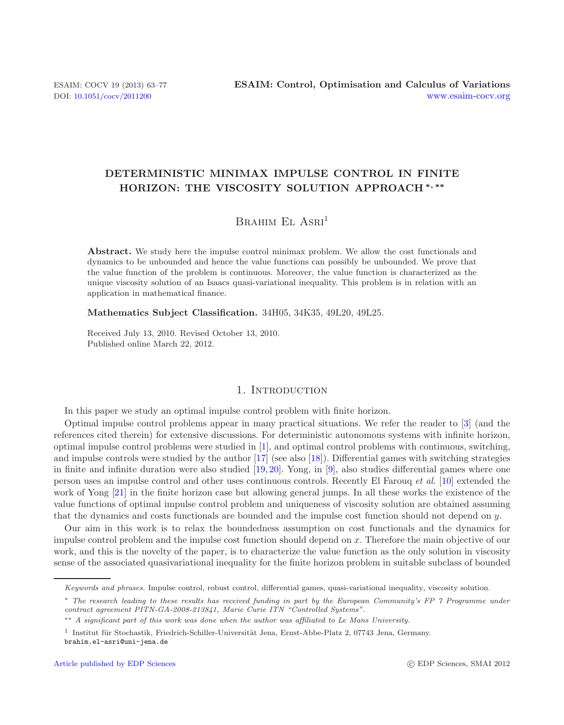# **DETERMINISTIC MINIMAX IMPULSE CONTROL IN FINITE HORIZON: THE VISCOSITY SOLUTION APPROACH** *<sup>∗</sup>, ∗∗*

# BRAHIM EL ASRI<sup>1</sup>

**Abstract.** We study here the impulse control minimax problem. We allow the cost functionals and dynamics to be unbounded and hence the value functions can possibly be unbounded. We prove that the value function of the problem is continuous. Moreover, the value function is characterized as the unique viscosity solution of an Isaacs quasi-variational inequality. This problem is in relation with an application in mathematical finance.

**Mathematics Subject Classification.** 34H05, 34K35, 49L20, 49L25.

Received July 13, 2010. Revised October 13, 2010. Published online March 22, 2012.

# 1. INTRODUCTION

In this paper we study an optimal impulse control problem with finite horizon.

Optimal impulse control problems appear in many practical situations. We refer the reader to [\[3\]](#page-13-0) (and the references cited therein) for extensive discussions. For deterministic autonomous systems with infinite horizon, optimal impulse control problems were studied in [\[1](#page-13-1)], and optimal control problems with continuous, switching, and impulse controls were studied by the author [\[17\]](#page-14-0) (see also [\[18](#page-14-1)]). Differential games with switching strategies in finite and infinite duration were also studied [\[19](#page-14-2), [20](#page-14-3)]. Yong, in [\[9\]](#page-13-2), also studies differential games where one person uses an impulse control and other uses continuous controls. Recently El Farouq *et al.* [\[10](#page-13-3)] extended the work of Yong [\[21\]](#page-14-4) in the finite horizon case but allowing general jumps. In all these works the existence of the value functions of optimal impulse control problem and uniqueness of viscosity solution are obtained assuming that the dynamics and costs functionals are bounded and the impulse cost function should not depend on y.

Our aim in this work is to relax the boundedness assumption on cost functionals and the dynamics for impulse control problem and the impulse cost function should depend on x. Therefore the main objective of our work, and this is the novelty of the paper, is to characterize the value function as the only solution in viscosity sense of the associated quasivariational inequality for the finite horizon problem in suitable subclass of bounded

Keywords and phrases. Impulse control, robust control, differential games, quasi-variational inequality, viscosity solution.

<sup>∗</sup> The research leading to these results has received funding in part by the European Community's FP 7 Programme under contract agreement PITN-GA-2008-213841, Marie Curie ITN "Controlled Systems".

<sup>∗∗</sup> A significant part of this work was done when the author was affiliated to Le Mans University.

 $1$  Institut für Stochastik, Friedrich-Schiller-Universität Jena, Ernst-Abbe-Platz 2, 07743 Jena, Germany. brahim.el-asri@uni-jena.de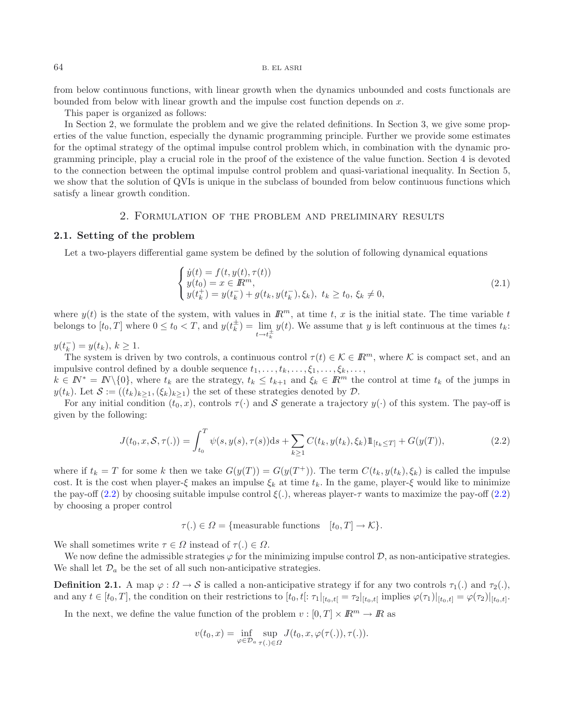from below continuous functions, with linear growth when the dynamics unbounded and costs functionals are bounded from below with linear growth and the impulse cost function depends on  $x$ .

This paper is organized as follows:

In Section 2, we formulate the problem and we give the related definitions. In Section 3, we give some properties of the value function, especially the dynamic programming principle. Further we provide some estimates for the optimal strategy of the optimal impulse control problem which, in combination with the dynamic programming principle, play a crucial role in the proof of the existence of the value function. Section 4 is devoted to the connection between the optimal impulse control problem and quasi-variational inequality. In Section 5, we show that the solution of QVIs is unique in the subclass of bounded from below continuous functions which satisfy a linear growth condition.

# 2. Formulation of the problem and preliminary results

#### **2.1. Setting of the problem**

<span id="page-1-0"></span>Let a two-players differential game system be defined by the solution of following dynamical equations

<span id="page-1-1"></span>
$$
\begin{cases}\n\dot{y}(t) = f(t, y(t), \tau(t)) \\
y(t_0) = x \in \mathbb{R}^m, \\
y(t_k^+) = y(t_k^-) + g(t_k, y(t_k^-), \xi_k), \ t_k \ge t_0, \ \xi_k \ne 0,\n\end{cases}
$$
\n(2.1)

where  $y(t)$  is the state of the system, with values in  $\mathbb{R}^m$ , at time t, x is the initial state. The time variable t belongs to  $[t_0, T]$  where  $0 \le t_0 < T$ , and  $y(t_k^{\pm}) = \lim_{t \to t_k^{\pm}}$  $y(t)$ . We assume that y is left continuous at the times  $t_k$ :

 $y(t_k^-) = y(t_k), k \ge 1.$ 

The system is driven by two controls, a continuous control  $\tau(t) \in \mathcal{K} \in \mathbb{R}^m$ , where K is compact set, and an impulsive control defined by a double sequence  $t_1, \ldots, t_k, \ldots, \xi_1, \ldots, \xi_k, \ldots$ ,

 $k \in \mathbb{N}^* = \mathbb{N} \setminus \{0\}$ , where  $t_k$  are the strategy,  $t_k \leq t_{k+1}$  and  $\xi_k \in \mathbb{R}^m$  the control at time  $t_k$  of the jumps in  $y(t_k)$ . Let  $\mathcal{S} := ((t_k)_{k\geq 1}, (\xi_k)_{k\geq 1})$  the set of these strategies denoted by  $\mathcal{D}$ .

For any initial condition  $(t_0, x)$ , controls  $\tau(\cdot)$  and S generate a trajectory  $y(\cdot)$  of this system. The pay-off is given by the following:

$$
J(t_0, x, S, \tau(.)) = \int_{t_0}^T \psi(s, y(s), \tau(s))ds + \sum_{k \ge 1} C(t_k, y(t_k), \xi_k) 1\!\!1_{[t_k \le T]} + G(y(T)),
$$
\n(2.2)

where if  $t_k = T$  for some k then we take  $G(y(T)) = G(y(T^+))$ . The term  $C(t_k, y(t_k), \xi_k)$  is called the impulse cost. It is the cost when player-ξ makes an impulse  $\xi_k$  at time  $t_k$ . In the game, player-ξ would like to minimize the pay-off [\(2.2\)](#page-1-0) by choosing suitable impulse control  $\xi(.)$ , whereas player- $\tau$  wants to maximize the pay-off (2.2) by choosing a proper control

 $\tau(.) \in \Omega = \{$  measurable functions  $[t_0, T] \to \mathcal{K}\}.$ 

We shall sometimes write  $\tau \in \Omega$  instead of  $\tau(.) \in \Omega$ .

We now define the admissible strategies  $\varphi$  for the minimizing impulse control  $\mathcal{D}$ , as non-anticipative strategies. We shall let  $\mathcal{D}_a$  be the set of all such non-anticipative strategies.

**Definition 2.1.** A map  $\varphi : \Omega \to \mathcal{S}$  is called a non-anticipative strategy if for any two controls  $\tau_1(.)$  and  $\tau_2(.)$ , and any  $t \in [t_0, T]$ , the condition on their restrictions to  $[t_0, t] \colon \tau_1|_{[t_0, t]} = \tau_2|_{[t_0, t]}$  implies  $\varphi(\tau_1)|_{[t_0, t]} = \varphi(\tau_2)|_{[t_0, t]}.$ 

In the next, we define the value function of the problem  $v : [0, T] \times \mathbb{R}^m \to \mathbb{R}$  as

$$
v(t_0, x) = \inf_{\varphi \in \mathcal{D}_a} \sup_{\tau(.) \in \Omega} J(t_0, x, \varphi(\tau(.)), \tau(.)).
$$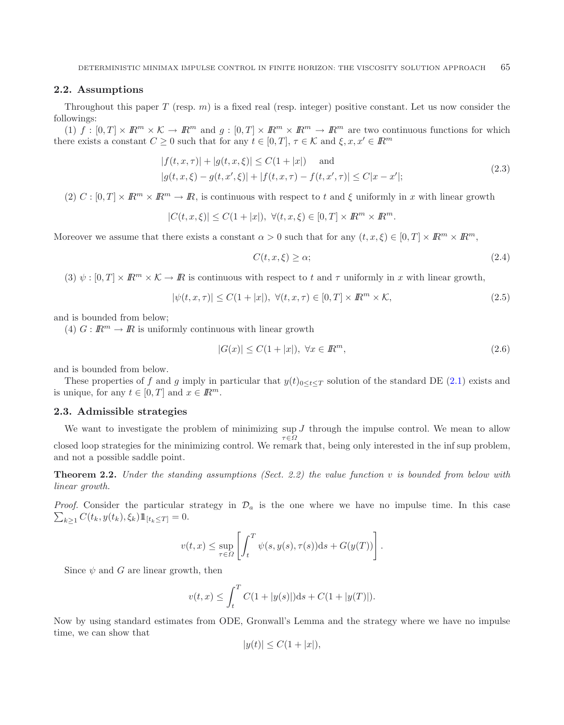## **2.2. Assumptions**

Throughout this paper T (resp.  $m$ ) is a fixed real (resp. integer) positive constant. Let us now consider the followings:

(1) f :  $[0, T] \times \mathbb{R}^m \times \mathcal{K} \to \mathbb{R}^m$  and  $q : [0, T] \times \mathbb{R}^m \times \mathbb{R}^m \to \mathbb{R}^m$  are two continuous functions for which there exists a constant  $C \geq 0$  such that for any  $t \in [0, T]$ ,  $\tau \in \mathcal{K}$  and  $\xi, x, x' \in \mathbb{R}^m$ 

<span id="page-2-0"></span>
$$
|f(t, x, \tau)| + |g(t, x, \xi)| \le C(1 + |x|) \quad \text{and}
$$
  

$$
|g(t, x, \xi) - g(t, x', \xi)| + |f(t, x, \tau) - f(t, x', \tau)| \le C|x - x'|;
$$
 (2.3)

(2)  $C : [0, T] \times \mathbb{R}^m \times \mathbb{R}^m \to \mathbb{R}$ , is continuous with respect to t and  $\xi$  uniformly in x with linear growth

$$
|C(t, x, \xi)| \le C(1+|x|), \ \forall (t, x, \xi) \in [0, T] \times I\!\!R^m \times I\!\!R^m.
$$

Moreover we assume that there exists a constant  $\alpha > 0$  such that for any  $(t, x, \xi) \in [0, T] \times \mathbb{R}^m \times \mathbb{R}^m$ ,

$$
C(t, x, \xi) \ge \alpha; \tag{2.4}
$$

(3)  $\psi : [0, T] \times \mathbb{R}^m \times \mathcal{K} \to \mathbb{R}$  is continuous with respect to t and  $\tau$  uniformly in x with linear growth,

$$
|\psi(t, x, \tau)| \le C(1+|x|), \ \forall (t, x, \tau) \in [0, T] \times I\!\!R^m \times \mathcal{K},\tag{2.5}
$$

and is bounded from below;

(4)  $G: \mathbb{R}^m \to \mathbb{R}$  is uniformly continuous with linear growth

$$
|G(x)| \le C(1+|x|), \ \forall x \in \mathbb{R}^m,\tag{2.6}
$$

and is bounded from below.

These properties of f and g imply in particular that  $y(t)_{0\leq t\leq T}$  solution of the standard DE [\(2.1\)](#page-1-1) exists and is unique, for any  $t \in [0, T]$  and  $x \in \mathbb{R}^m$ .

#### **2.3. Admissible strategies**

We want to investigate the problem of minimizing sup  $J$  through the impulse control. We mean to allow  $\tau \in \Omega$ closed loop strategies for the minimizing control. We remark that, being only interested in the inf sup problem, and not a possible saddle point.

**Theorem 2.2.** *Under the standing assumptions (Sect. 2.2) the value function* v *is bounded from below with linear growth.*

 $\sum_{k\geq 1} C(t_k, y(t_k), \xi_k) \mathbb{1}_{[t_k \leq T]} = 0.$ *Proof.* Consider the particular strategy in  $\mathcal{D}_a$  is the one where we have no impulse time. In this case

$$
v(t,x) \le \sup_{\tau \in \Omega} \left[ \int_t^T \psi(s,y(s),\tau(s))ds + G(y(T)) \right].
$$

Since  $\psi$  and G are linear growth, then

$$
v(t,x) \le \int_t^T C(1+|y(s)|)ds + C(1+|y(T)|).
$$

Now by using standard estimates from ODE, Gronwall's Lemma and the strategy where we have no impulse time, we can show that

$$
|y(t)| \le C(1+|x|),
$$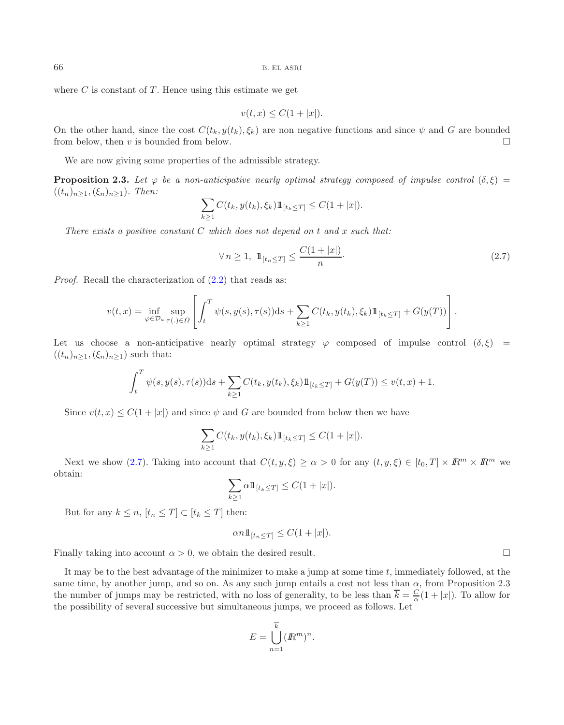where  $C$  is constant of  $T$ . Hence using this estimate we get

<span id="page-3-0"></span> $v(t, x) \leq C(1 + |x|).$ 

On the other hand, since the cost  $C(t_k, y(t_k), \xi_k)$  are non negative functions and since  $\psi$  and G are bounded from below, then  $v$  is bounded from below.  $\Box$ 

We are now giving some properties of the admissible strategy.

**Proposition 2.3.** Let  $\varphi$  be a non-anticipative nearly optimal strategy composed of impulse control  $(\delta, \xi)$  $((t_n)_{n\geq 1},(\xi_n)_{n\geq 1})$ *. Then:* 

$$
\sum_{k\geq 1} C(t_k, y(t_k), \xi_k) 1\!\!1_{[t_k\leq T]} \leq C(1+|x|).
$$

*There exists a positive constant* C *which does not depend on* t *and* x *such that:*

$$
\forall n \ge 1, \ \mathbb{1}_{[t_n \le T]} \le \frac{C(1+|x|)}{n}.\tag{2.7}
$$

*Proof.* Recall the characterization of  $(2.2)$  that reads as:

$$
v(t,x) = \inf_{\varphi \in \mathcal{D}_{a}} \sup_{\tau(.) \in \Omega} \left[ \int_t^T \psi(s, y(s), \tau(s)) ds + \sum_{k \ge 1} C(t_k, y(t_k), \xi_k) 1\!\!1_{[t_k \le T]} + G(y(T)) \right].
$$

Let us choose a non-anticipative nearly optimal strategy  $\varphi$  composed of impulse control  $(\delta, \xi)$  =  $((t_n)_{n\geq 1},(\xi_n)_{n\geq 1})$  such that:

$$
\int_t^T \psi(s, y(s), \tau(s)) ds + \sum_{k \ge 1} C(t_k, y(t_k), \xi_k) 1\!\!1_{[t_k \le T]} + G(y(T)) \le v(t, x) + 1.
$$

Since  $v(t, x) \leq C(1+|x|)$  and since  $\psi$  and G are bounded from below then we have

$$
\sum_{k\geq 1} C(t_k, y(t_k), \xi_k) 1\!\!1_{[t_k\leq T]} \leq C(1+|x|).
$$

Next we show [\(2.7\)](#page-3-0). Taking into account that  $C(t, y, \xi) \ge \alpha > 0$  for any  $(t, y, \xi) \in [t_0, T] \times \mathbb{R}^m \times \mathbb{R}^m$  we obtain:

$$
\sum_{k\geq 1} \alpha 1\!\!1_{[t_k\leq T]} \leq C(1+|x|).
$$

But for any  $k \leq n$ ,  $[t_n \leq T] \subset [t_k \leq T]$  then:

$$
\alpha n \mathbb{1}_{[t_n \leq T]} \leq C(1+|x|).
$$

Finally taking into account  $\alpha > 0$ , we obtain the desired result.  $\Box$ 

It may be to the best advantage of the minimizer to make a jump at some time  $t$ , immediately followed, at the same time, by another jump, and so on. As any such jump entails a cost not less than  $\alpha$ , from Proposition 2.3 the number of jumps may be restricted, with no loss of generality, to be less than  $\overline{k} = \frac{C}{\alpha}(1+|x|)$ . To allow for the possibility of several successive but simultaneous jumps, we proceed as follows. Let

$$
E = \bigcup_{n=1}^{k} (I\!\!R^m)^n.
$$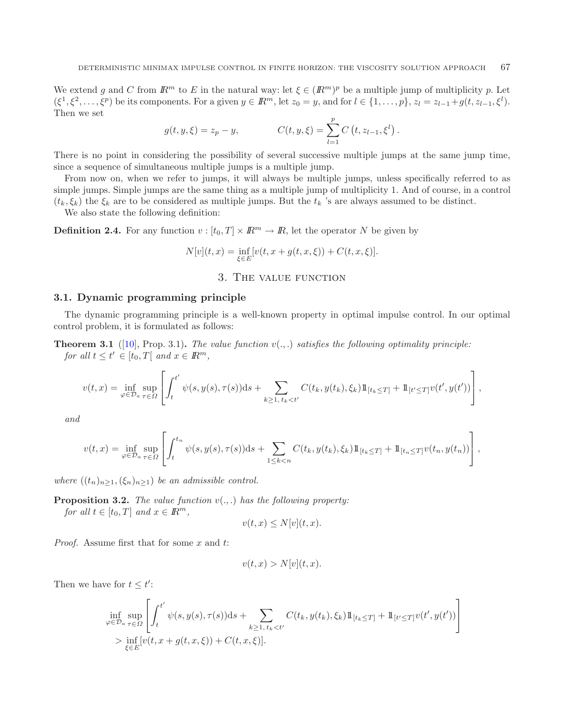We extend g and C from  $\mathbb{R}^m$  to E in the natural way: let  $\xi \in (\mathbb{R}^m)^p$  be a multiple jump of multiplicity p. Let  $(\xi^1, \xi^2, \dots, \xi^p)$  be its components. For a given  $y \in \mathbb{R}^m$ , let  $z_0 = y$ , and for  $l \in \{1, \dots, p\}$ ,  $z_l = z_{l-1} + g(t, z_{l-1}, \xi^l)$ . Then we set

$$
g(t, y, \xi) = z_p - y, \qquad C(t, y, \xi) = \sum_{l=1}^p C(t, z_{l-1}, \xi^l).
$$

There is no point in considering the possibility of several successive multiple jumps at the same jump time, since a sequence of simultaneous multiple jumps is a multiple jump.

From now on, when we refer to jumps, it will always be multiple jumps, unless specifically referred to as simple jumps. Simple jumps are the same thing as a multiple jump of multiplicity 1. And of course, in a control  $(t_k, \xi_k)$  the  $\xi_k$  are to be considered as multiple jumps. But the  $t_k$  's are always assumed to be distinct.

We also state the following definition:

**Definition 2.4.** For any function  $v : [t_0, T] \times \mathbb{R}^m \to \mathbb{R}$ , let the operator N be given by

$$
N[v](t, x) = \inf_{\xi \in E} [v(t, x + g(t, x, \xi)) + C(t, x, \xi)].
$$

### 3. The value function

#### **3.1. Dynamic programming principle**

The dynamic programming principle is a well-known property in optimal impulse control. In our optimal control problem, it is formulated as follows:

**Theorem 3.1** ([\[10\]](#page-13-3), Prop. 3.1). *The value function*  $v(.,.)$  *satisfies the following optimality principle: for all*  $t \le t' \in [t_0, T]$  *and*  $x \in \mathbb{R}^m$ *,* 

$$
v(t,x) = \inf_{\varphi \in \mathcal{D}_a} \sup_{\tau \in \Omega} \left[ \int_t^{t'} \psi(s,y(s),\tau(s))ds + \sum_{k \ge 1, \, t_k < t'} C(t_k,y(t_k),\xi_k) 1\!\!1_{[t_k \le T]} + 1\!\!1_{[t' \le T]} v(t',y(t')) \right],
$$

*and*

$$
v(t,x) = \inf_{\varphi \in \mathcal{D}_a} \sup_{\tau \in \Omega} \left[ \int_t^{t_n} \psi(s,y(s),\tau(s))ds + \sum_{1 \le k < n} C(t_k,y(t_k),\xi_k) 1\!\!1_{[t_k \le T]} + 1\!\!1_{[t_n \le T]} v(t_n,y(t_n)) \right],
$$

*where*  $((t_n)_{n>1},(\xi_n)_{n>1})$  *be an admissible control.* 

**Proposition 3.2.** *The value function* v(., .) *has the following property: for all*  $t \in [t_0, T]$  *and*  $x \in \mathbb{R}^m$ *,* 

$$
v(t, x) \le N[v](t, x).
$$

*Proof.* Assume first that for some x and t:

$$
v(t, x) > N[v](t, x).
$$

Then we have for  $t \leq t'$ :

$$
\inf_{\varphi \in \mathcal{D}_a} \sup_{\tau \in \Omega} \left[ \int_t^{t'} \psi(s, y(s), \tau(s)) ds + \sum_{k \ge 1, t_k < t'} C(t_k, y(t_k), \xi_k) 1\!\!1_{[t_k \le T]} + 1\!\!1_{[t' \le T]} v(t', y(t')) \right]
$$
  
> 
$$
\inf_{\xi \in E} [v(t, x + g(t, x, \xi)) + C(t, x, \xi)].
$$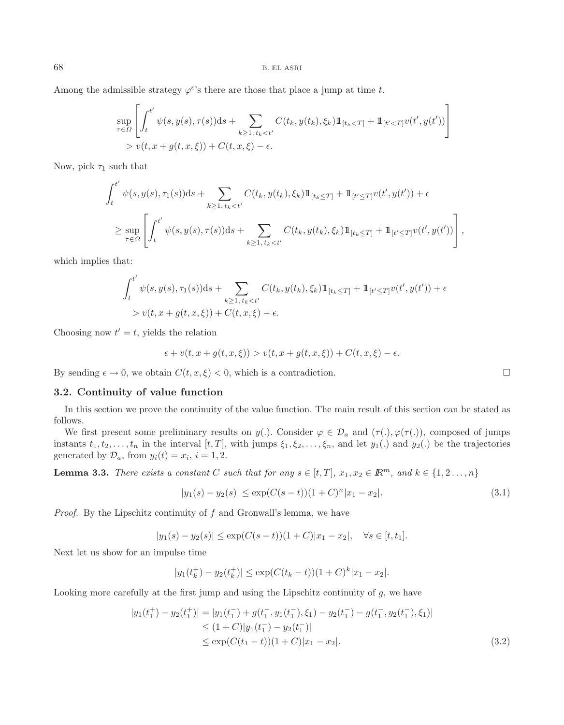Among the admissible strategy  $\varphi^{\epsilon}$ 's there are those that place a jump at time t.

$$
\sup_{\tau \in \Omega} \left[ \int_t^{t'} \psi(s, y(s), \tau(s)) ds + \sum_{k \ge 1, t_k < t'} C(t_k, y(t_k), \xi_k) 1\!\!1_{[t_k < T]} + 1\!\!1_{[t' < T]} v(t', y(t')) \right]
$$
  
>  $v(t, x + g(t, x, \xi)) + C(t, x, \xi) - \epsilon$ .

Now, pick  $\tau_1$  such that

$$
\int_{t}^{t'} \psi(s, y(s), \tau_1(s)) ds + \sum_{k \ge 1, t_k < t'} C(t_k, y(t_k), \xi_k) 1\!\!1_{[t_k \le T]} + 1\!\!1_{[t' \le T]} v(t', y(t')) + \epsilon
$$
\n
$$
\ge \sup_{\tau \in \Omega} \left[ \int_{t}^{t'} \psi(s, y(s), \tau(s)) ds + \sum_{k \ge 1, t_k < t'} C(t_k, y(t_k), \xi_k) 1\!\!1_{[t_k \le T]} + 1\!\!1_{[t' \le T]} v(t', y(t')) \right],
$$

which implies that:

$$
\int_{t}^{t'} \psi(s, y(s), \tau_1(s)) ds + \sum_{k \ge 1, t_k < t'} C(t_k, y(t_k), \xi_k) 1\!\!1_{[t_k \le T]} + 1\!\!1_{[t' \le T]} v(t', y(t')) + \epsilon
$$
  
>  $v(t, x + g(t, x, \xi)) + C(t, x, \xi) - \epsilon$ .

Choosing now  $t' = t$ , yields the relation

$$
\epsilon + v(t, x + g(t, x, \xi)) > v(t, x + g(t, x, \xi)) + C(t, x, \xi) - \epsilon.
$$

By sending  $\epsilon \to 0$ , we obtain  $C(t, x, \xi) < 0$ , which is a contradiction.

#### **3.2. Continuity of value function**

In this section we prove the continuity of the value function. The main result of this section can be stated as follows.

We first present some preliminary results on  $y(.)$ . Consider  $\varphi \in \mathcal{D}_a$  and  $(\tau(.)$ ,  $\varphi(\tau(.))$ , composed of jumps instants  $t_1, t_2,...,t_n$  in the interval  $[t, T]$ , with jumps  $\xi_1, \xi_2,..., \xi_n$ , and let  $y_1(.)$  and  $y_2(.)$  be the trajectories generated by  $\mathcal{D}_a$ , from  $y_i(t) = x_i$ ,  $i = 1, 2$ .

**Lemma 3.3.** *There exists a constant* C *such that for any*  $s \in [t, T]$ *,*  $x_1, x_2 \in \mathbb{R}^m$ *, and*  $k \in \{1, 2, ..., n\}$ 

$$
|y_1(s) - y_2(s)| \le \exp(C(s-t))(1+C)^n |x_1 - x_2|.
$$
\n(3.1)

*Proof.* By the Lipschitz continuity of f and Gronwall's lemma, we have

$$
|y_1(s) - y_2(s)| \le \exp(C(s-t))(1+C)|x_1 - x_2|, \quad \forall s \in [t, t_1].
$$

Next let us show for an impulse time

$$
|y_1(t_k^+) - y_2(t_k^+)| \le \exp(C(t_k - t))(1+C)^k |x_1 - x_2|.
$$

Looking more carefully at the first jump and using the Lipschitz continuity of  $g$ , we have

$$
|y_1(t_1^+) - y_2(t_1^+)| = |y_1(t_1^-) + g(t_1^-, y_1(t_1^-), \xi_1) - y_2(t_1^-) - g(t_1^-, y_2(t_1^-), \xi_1)|
$$
  
\n
$$
\leq (1+C)|y_1(t_1^-) - y_2(t_1^-)|
$$
  
\n
$$
\leq \exp(C(t_1-t))(1+C)|x_1 - x_2|.
$$
\n(3.2)

<span id="page-5-0"></span> $\Box$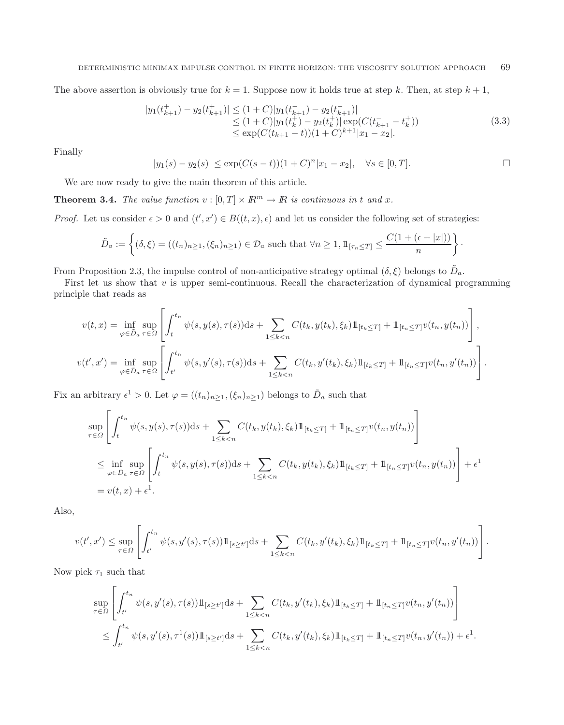The above assertion is obviously true for  $k = 1$ . Suppose now it holds true at step k. Then, at step  $k + 1$ ,

$$
|y_1(t_{k+1}^+) - y_2(t_{k+1}^+)| \le (1+C)|y_1(t_{k+1}^-) - y_2(t_{k+1}^-)|
$$
  
\n
$$
\le (1+C)|y_1(t_k^+) - y_2(t_k^+)| \exp(C(t_{k+1}^- - t_k^+))
$$
  
\n
$$
\le \exp(C(t_{k+1} - t))(1+C)^{k+1}|x_1 - x_2|.
$$
\n(3.3)

Finally

$$
|y_1(s) - y_2(s)| \le \exp(C(s-t))(1+C)^n |x_1 - x_2|, \quad \forall s \in [0, T].
$$

We are now ready to give the main theorem of this article.

**Theorem 3.4.** *The value function*  $v : [0, T] \times \mathbb{R}^m \to \mathbb{R}$  *is continuous in t and x.* 

*Proof.* Let us consider  $\epsilon > 0$  and  $(t', x') \in B((t, x), \epsilon)$  and let us consider the following set of strategies:

$$
\tilde{D}_a := \left\{ (\delta, \xi) = ((t_n)_{n \ge 1}, (\xi_n)_{n \ge 1}) \in \mathcal{D}_a \text{ such that } \forall n \ge 1, \mathbb{1}_{[\tau_n \le T]} \le \frac{C(1 + (\epsilon + |x|))}{n} \right\}.
$$

From Proposition 2.3, the impulse control of non-anticipative strategy optimal  $(\delta, \xi)$  belongs to  $D_a$ .

First let us show that  $v$  is upper semi-continuous. Recall the characterization of dynamical programming principle that reads as

$$
v(t,x) = \inf_{\varphi \in \tilde{D}_a} \sup_{\tau \in \Omega} \left[ \int_t^{t_n} \psi(s,y(s),\tau(s))ds + \sum_{1 \le k < n} C(t_k,y(t_k),\xi_k) 1\!\!1_{[t_k \le T]} + 1\!\!1_{[t_n \le T]} v(t_n,y(t_n)) \right],
$$
\n
$$
v(t',x') = \inf_{\varphi \in \tilde{D}_a} \sup_{\tau \in \Omega} \left[ \int_{t'}^{t_n} \psi(s,y'(s),\tau(s))ds + \sum_{1 \le k < n} C(t_k,y'(t_k),\xi_k) 1\!\!1_{[t_k \le T]} + 1\!\!1_{[t_n \le T]} v(t_n,y'(t_n)) \right].
$$

Fix an arbitrary  $\epsilon^1 > 0$ . Let  $\varphi = ((t_n)_{n \geq 1}, (\xi_n)_{n \geq 1})$  belongs to  $\tilde{D}_a$  such that

$$
\sup_{\tau \in \Omega} \left[ \int_{t}^{t_n} \psi(s, y(s), \tau(s)) ds + \sum_{1 \le k < n} C(t_k, y(t_k), \xi_k) 1\!\!1_{[t_k \le T]} + 1\!\!1_{[t_n \le T]} v(t_n, y(t_n)) \right]
$$
\n
$$
\le \inf_{\varphi \in \tilde{D}_a} \sup_{\tau \in \Omega} \left[ \int_{t}^{t_n} \psi(s, y(s), \tau(s)) ds + \sum_{1 \le k < n} C(t_k, y(t_k), \xi_k) 1\!\!1_{[t_k \le T]} + 1\!\!1_{[t_n \le T]} v(t_n, y(t_n)) \right] + \epsilon^1
$$
\n
$$
= v(t, x) + \epsilon^1.
$$

Also,

$$
v(t',x') \leq \sup_{\tau \in \Omega} \left[ \int_{t'}^{t_n} \psi(s,y'(s),\tau(s)) \mathbb{1}_{[s \geq t']} ds + \sum_{1 \leq k < n} C(t_k,y'(t_k),\xi_k) \mathbb{1}_{[t_k \leq T]} + \mathbb{1}_{[t_n \leq T]} v(t_n,y'(t_n)) \right].
$$

Now pick  $\tau_1$  such that

$$
\sup_{\tau \in \Omega} \left[ \int_{t'}^{t_n} \psi(s, y'(s), \tau(s)) \mathbb{1}_{[s \ge t']} ds + \sum_{1 \le k < n} C(t_k, y'(t_k), \xi_k) \mathbb{1}_{[t_k \le T]} + \mathbb{1}_{[t_n \le T]} v(t_n, y'(t_n)) \right]
$$
\n
$$
\le \int_{t'}^{t_n} \psi(s, y'(s), \tau^1(s)) \mathbb{1}_{[s \ge t']} ds + \sum_{1 \le k < n} C(t_k, y'(t_k), \xi_k) \mathbb{1}_{[t_k \le T]} + \mathbb{1}_{[t_n \le T]} v(t_n, y'(t_n)) + \epsilon^1.
$$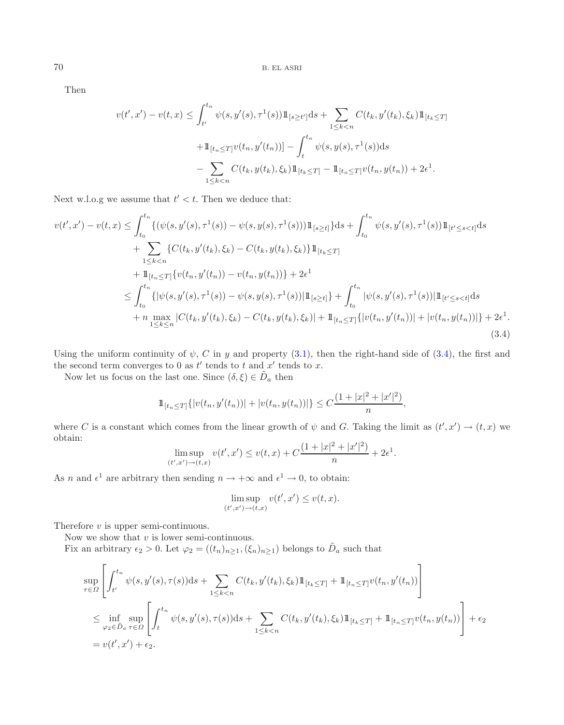Then

<span id="page-7-0"></span>
$$
v(t',x') - v(t,x) \leq \int_{t'}^{t_n} \psi(s,y'(s),\tau^1(s))1\!\!1_{\{s \geq t'\}}ds + \sum_{1 \leq k < n} C(t_k,y'(t_k),\xi_k)1\!\!1_{\{t_k \leq T\}}+ 1\!\!1_{\{t_n \leq T\}}v(t_n,y'(t_n))] - \int_{t}^{t_n} \psi(s,y(s),\tau^1(s))ds- \sum_{1 \leq k < n} C(t_k,y(t_k),\xi_k)1\!\!1_{\{t_k \leq T\}} - 1\!\!1_{\{t_n \leq T\}}v(t_n,y(t_n)) + 2\epsilon^1.
$$

Next w.l.o.g we assume that  $t' < t$ . Then we deduce that:

$$
v(t',x') - v(t,x) \leq \int_{t_0}^{t_n} \{ (\psi(s,y'(s),\tau^1(s)) - \psi(s,y(s),\tau^1(s))) \mathbb{1}_{[s \geq t]} \} ds + \int_{t_0}^{t_n} \psi(s,y'(s),\tau^1(s)) \mathbb{1}_{[t' \leq s < t]} ds + \sum_{1 \leq k < n} \{ C(t_k,y'(t_k),\xi_k) - C(t_k,y(t_k),\xi_k) \} \mathbb{1}_{[t_k \leq T]} + \mathbb{1}_{[t_n \leq T]} \{ v(t_n,y'(t_n)) - v(t_n,y(t_n)) \} + 2\epsilon^1 \leq \int_{t_0}^{t_n} \{ |\psi(s,y'(s),\tau^1(s)) - \psi(s,y(s),\tau^1(s))| \mathbb{1}_{[s \geq t]} \} + \int_{t_0}^{t_n} |\psi(s,y'(s),\tau^1(s))| \mathbb{1}_{[t' \leq s < t]} ds + n \max_{1 \leq k \leq n} |C(t_k,y'(t_k),\xi_k) - C(t_k,y(t_k),\xi_k)| + \mathbb{1}_{[t_n \leq T]} \{ |v(t_n,y'(t_n))| + |v(t_n,y(t_n))| \} + 2\epsilon^1.
$$
\n(3.4)

Using the uniform continuity of  $\psi$ , C in y and property [\(3.1\)](#page-5-0), then the right-hand side of [\(3.4\)](#page-7-0), the first and the second term converges to 0 as  $t'$  tends to  $t$  and  $x'$  tends to  $x$ .

Now let us focus on the last one. Since  $(\delta, \xi) \in \tilde{D}_a$  then

$$
\mathbb{1}_{[t_n \leq T]} \{|v(t_n, y'(t_n))| + |v(t_n, y(t_n))|\} \leq C \frac{(1+|x|^2+|x'|^2)}{n},
$$

where C is a constant which comes from the linear growth of  $\psi$  and G. Taking the limit as  $(t', x') \to (t, x)$  we obtain:

$$
\limsup_{(t',x') \to (t,x)} v(t',x') \le v(t,x) + C \frac{(1+|x|^2+|x'|^2)}{n} + 2\epsilon^1.
$$

As n and  $\epsilon^1$  are arbitrary then sending  $n \to +\infty$  and  $\epsilon^1 \to 0$ , to obtain:

$$
\limsup_{(t',x')\to(t,x)} v(t',x') \le v(t,x).
$$

Therefore  $v$  is upper semi-continuous.

Now we show that  $v$  is lower semi-continuous.

Fix an arbitrary  $\epsilon_2 > 0$ . Let  $\varphi_2 = ((t_n)_{n \geq 1}, (\xi_n)_{n \geq 1})$  belongs to  $\tilde{D}_a$  such that

$$
\sup_{\tau \in \Omega} \left[ \int_{t'}^{t_n} \psi(s, y'(s), \tau(s)) ds + \sum_{1 \le k < n} C(t_k, y'(t_k), \xi_k) 1\!\!1_{[t_k \le T]} + 1\!\!1_{[t_n \le T]} v(t_n, y'(t_n)) \right]
$$
\n
$$
\le \inf_{\varphi_2 \in \tilde{D}_a} \sup_{\tau \in \Omega} \left[ \int_t^{t_n} \psi(s, y'(s), \tau(s)) ds + \sum_{1 \le k < n} C(t_k, y'(t_k), \xi_k) 1\!\!1_{[t_k \le T]} + 1\!\!1_{[t_n \le T]} v(t_n, y(t_n)) \right] + \epsilon_2
$$
\n
$$
= v(t', x') + \epsilon_2.
$$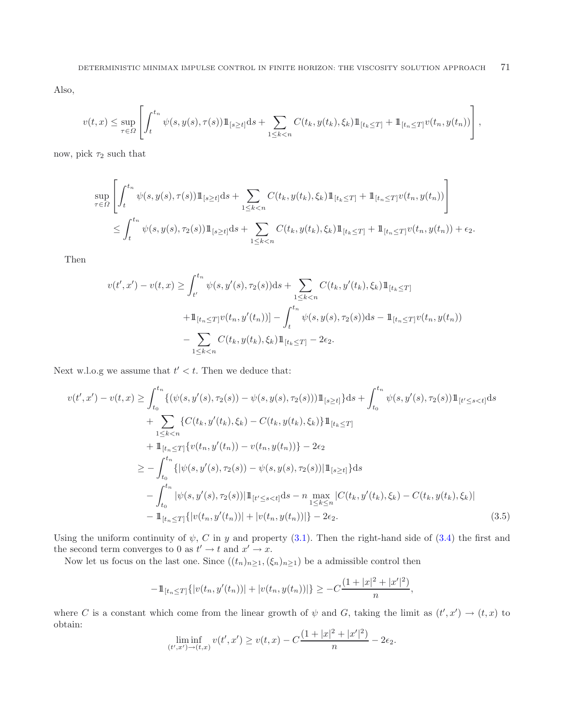Also,

$$
v(t,x) \leq \sup_{\tau \in \Omega} \left[ \int_t^{t_n} \psi(s,y(s),\tau(s)) \mathbb{1}_{[s \geq t]} ds + \sum_{1 \leq k < n} C(t_k,y(t_k),\xi_k) \mathbb{1}_{[t_k \leq T]} + \mathbb{1}_{[t_n \leq T]} v(t_n,y(t_n)) \right],
$$

now, pick  $\tau_2$  such that

$$
\sup_{\tau \in \Omega} \left[ \int_t^{t_n} \psi(s, y(s), \tau(s)) \mathbb{1}_{[s \ge t]} ds + \sum_{1 \le k < n} C(t_k, y(t_k), \xi_k) \mathbb{1}_{[t_k \le T]} + \mathbb{1}_{[t_n \le T]} v(t_n, y(t_n)) \right]
$$
\n
$$
\le \int_t^{t_n} \psi(s, y(s), \tau_2(s)) \mathbb{1}_{[s \ge t]} ds + \sum_{1 \le k < n} C(t_k, y(t_k), \xi_k) \mathbb{1}_{[t_k \le T]} + \mathbb{1}_{[t_n \le T]} v(t_n, y(t_n)) + \epsilon_2.
$$

Then

$$
v(t',x') - v(t,x) \ge \int_{t'}^{t_n} \psi(s,y'(s),\tau_2(s))ds + \sum_{1 \le k < n} C(t_k,y'(t_k),\xi_k)1\!\!1_{[t_k \le T]}
$$
  
+ 
$$
1\!\!1_{[t_n \le T]} v(t_n,y'(t_n))] - \int_{t}^{t_n} \psi(s,y(s),\tau_2(s))ds - 1\!\!1_{[t_n \le T]} v(t_n,y(t_n))
$$
  
- 
$$
\sum_{1 \le k < n} C(t_k,y(t_k),\xi_k)1\!\!1_{[t_k \le T]} - 2\epsilon_2.
$$

Next w.l.o.g we assume that  $t' < t$ . Then we deduce that:

$$
v(t',x') - v(t,x) \geq \int_{t_0}^{t_n} \{ (\psi(s,y'(s),\tau_2(s)) - \psi(s,y(s),\tau_2(s))) \mathbb{1}_{[s \geq t]} \} ds + \int_{t_0}^{t_n} \psi(s,y'(s),\tau_2(s)) \mathbb{1}_{[t' \leq s < t]} ds + \sum_{1 \leq k < n} \{ C(t_k,y'(t_k),\xi_k) - C(t_k,y(t_k),\xi_k) \} \mathbb{1}_{[t_k \leq T]} + \mathbb{1}_{[t_n \leq T]} \{ v(t_n,y'(t_n)) - v(t_n,y(t_n)) \} - 2\epsilon_2 \geq - \int_{t_0}^{t_n} \{ |\psi(s,y'(s),\tau_2(s)) - \psi(s,y(s),\tau_2(s))| \mathbb{1}_{[s \geq t]} \} ds - \int_{t_0}^{t_n} |\psi(s,y'(s),\tau_2(s))| \mathbb{1}_{[t' \leq s < t]} ds - n \max_{1 \leq k \leq n} |C(t_k,y'(t_k),\xi_k) - C(t_k,y(t_k),\xi_k)| - \mathbb{1}_{[t_n \leq T]} \{ |\psi(t_n,y'(t_n))| + |\psi(t_n,y(t_n))| \} - 2\epsilon_2.
$$
\n(3.5)

Using the uniform continuity of  $\psi$ , C in y and property [\(3.1\)](#page-5-0). Then the right-hand side of [\(3.4\)](#page-7-0) the first and the second term converges to 0 as  $t' \to t$  and  $x' \to x$ .

Now let us focus on the last one. Since  $((t_n)_{n\geq 1},(\xi_n)_{n\geq 1})$  be a admissible control then

$$
-\mathbb{1}_{[t_n\leq T]}\{|v(t_n,y'(t_n))|+|v(t_n,y(t_n))|\}\geq -C\frac{(1+|x|^2+|x'|^2)}{n},
$$

where C is a constant which come from the linear growth of  $\psi$  and G, taking the limit as  $(t',x') \to (t,x)$  to obtain:

$$
\liminf_{(t',x')\to(t,x)} v(t',x') \ge v(t,x) - C\frac{(1+|x|^2+|x'|^2)}{n} - 2\epsilon_2.
$$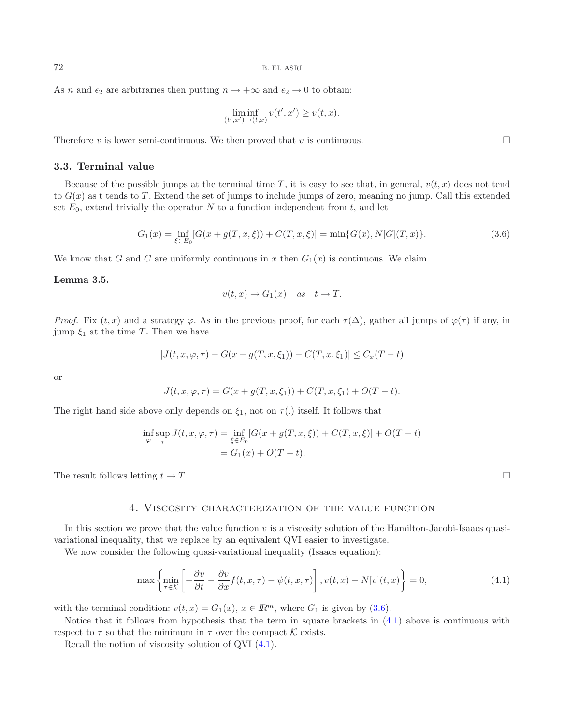As n and  $\epsilon_2$  are arbitraries then putting  $n \to +\infty$  and  $\epsilon_2 \to 0$  to obtain:

$$
\liminf_{(t',x')\to(t,x)} v(t',x') \ge v(t,x).
$$

Therefore v is lower semi-continuous. We then proved that v is continuous.  $\square$ 

### **3.3. Terminal value**

<span id="page-9-0"></span>Because of the possible jumps at the terminal time T, it is easy to see that, in general,  $v(t, x)$  does not tend to  $G(x)$  as t tends to T. Extend the set of jumps to include jumps of zero, meaning no jump. Call this extended set  $E_0$ , extend trivially the operator N to a function independent from t, and let

$$
G_1(x) = \inf_{\xi \in E_0} [G(x + g(T, x, \xi)) + C(T, x, \xi)] = \min\{G(x), N[G](T, x)\}.
$$
\n(3.6)

We know that G and C are uniformly continuous in x then  $G_1(x)$  is continuous. We claim

#### **Lemma 3.5.**

<span id="page-9-1"></span>
$$
v(t, x) \rightarrow G_1(x)
$$
 as  $t \rightarrow T$ .

*Proof.* Fix  $(t, x)$  and a strategy  $\varphi$ . As in the previous proof, for each  $\tau(\Delta)$ , gather all jumps of  $\varphi(\tau)$  if any, in jump  $\xi_1$  at the time T. Then we have

$$
|J(t, x, \varphi, \tau) - G(x + g(T, x, \xi_1)) - C(T, x, \xi_1)| \le C_x (T - t)
$$

or

$$
J(t, x, \varphi, \tau) = G(x + g(T, x, \xi_1)) + C(T, x, \xi_1) + O(T - t).
$$

The right hand side above only depends on  $\xi_1$ , not on  $\tau(.)$  itself. It follows that

$$
\inf_{\varphi} \sup_{\tau} J(t, x, \varphi, \tau) = \inf_{\xi \in E_0} [G(x + g(T, x, \xi)) + C(T, x, \xi)] + O(T - t)
$$
  
=  $G_1(x) + O(T - t)$ .

The result follows letting  $t \to T$ .

#### 4. Viscosity characterization of the value function

In this section we prove that the value function  $v$  is a viscosity solution of the Hamilton-Jacobi-Isaacs quasivariational inequality, that we replace by an equivalent QVI easier to investigate.

We now consider the following quasi-variational inequality (Isaacs equation):

$$
\max\left\{\min_{\tau\in\mathcal{K}}\left[-\frac{\partial v}{\partial t} - \frac{\partial v}{\partial x}f(t, x, \tau) - \psi(t, x, \tau)\right], v(t, x) - N[v](t, x)\right\} = 0,\tag{4.1}
$$

with the terminal condition:  $v(t, x) = G_1(x), x \in \mathbb{R}^m$ , where  $G_1$  is given by [\(3.6\)](#page-9-0).

Notice that it follows from hypothesis that the term in square brackets in [\(4.1\)](#page-9-1) above is continuous with respect to  $\tau$  so that the minimum in  $\tau$  over the compact  $\mathcal K$  exists.

Recall the notion of viscosity solution of QVI [\(4.1\)](#page-9-1).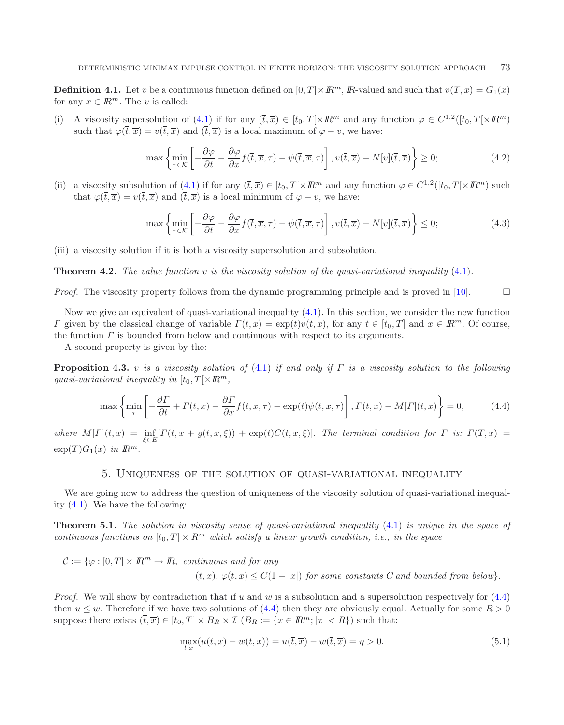**Definition 4.1.** Let v be a continuous function defined on  $[0, T] \times \mathbb{R}^m$ ,  $\mathbb{R}$ -valued and such that  $v(T, x) = G_1(x)$ for any  $x \in \mathbb{R}^m$ . The v is called:

(i) A viscosity supersolution of [\(4.1\)](#page-9-1) if for any  $(\overline{t}, \overline{x}) \in [t_0, T] \times \mathbb{R}^m$  and any function  $\varphi \in C^{1,2}([t_0, T] \times \mathbb{R}^m)$ such that  $\varphi(\bar{t}, \bar{x}) = v(\bar{t}, \bar{x})$  and  $(\bar{t}, \bar{x})$  is a local maximum of  $\varphi - v$ , we have:

$$
\max\left\{\min_{\tau\in\mathcal{K}}\left[-\frac{\partial\varphi}{\partial t} - \frac{\partial\varphi}{\partial x}f(\overline{t},\overline{x},\tau) - \psi(\overline{t},\overline{x},\tau)\right], v(\overline{t},\overline{x}) - N[v](\overline{t},\overline{x})\right\} \ge 0;\tag{4.2}
$$

(ii) a viscosity subsolution of [\(4.1\)](#page-9-1) if for any  $(\bar{t}, \bar{x}) \in [t_0, T] \times \mathbb{R}^m$  and any function  $\varphi \in C^{1,2}([t_0, T] \times \mathbb{R}^m)$  such that  $\varphi(\overline{t}, \overline{x}) = v(\overline{t}, \overline{x})$  and  $(\overline{t}, \overline{x})$  is a local minimum of  $\varphi - v$ , we have:

<span id="page-10-0"></span>
$$
\max\left\{\min_{\tau\in\mathcal{K}}\left[-\frac{\partial\varphi}{\partial t} - \frac{\partial\varphi}{\partial x}f(\overline{t},\overline{x},\tau) - \psi(\overline{t},\overline{x},\tau)\right], v(\overline{t},\overline{x}) - N[v](\overline{t},\overline{x})\right\} \le 0;\tag{4.3}
$$

(iii) a viscosity solution if it is both a viscosity supersolution and subsolution.

**Theorem 4.2.** *The value function* v *is the viscosity solution of the quasi-variational inequality* [\(4.1\)](#page-9-1)*.*

*Proof.* The viscosity property follows from the dynamic programming principle and is proved in  $[10]$ .

Now we give an equivalent of quasi-variational inequality  $(4.1)$ . In this section, we consider the new function Γ given by the classical change of variable  $\Gamma(t, x) = \exp(t)v(t, x)$ , for any  $t \in [t_0, T]$  and  $x \in \mathbb{R}^m$ . Of course, the function  $\Gamma$  is bounded from below and continuous with respect to its arguments.

A second property is given by the:

**Proposition 4.3.** v *is a viscosity solution of* [\(4.1\)](#page-9-1) *if and only if* Γ *is a viscosity solution to the following quasi-variational inequality in*  $[t_0, T] \times \mathbb{R}^m$ ,

$$
\max\left\{\min_{\tau} \left[ -\frac{\partial \Gamma}{\partial t} + \Gamma(t, x) - \frac{\partial \Gamma}{\partial x} f(t, x, \tau) - \exp(t)\psi(t, x, \tau) \right], \Gamma(t, x) - M[\Gamma](t, x) \right\} = 0,\tag{4.4}
$$

 $where M[\Gamma](t, x) = \inf_{\xi \in E} [\Gamma(t, x + g(t, x, \xi)) + \exp(t)C(t, x, \xi)].$  *The terminal condition for*  $\Gamma$  *is:*  $\Gamma(T, x) =$  $\exp(T)G_1(x)$  *in*  $\mathbb{R}^m$ .

### 5. Uniqueness of the solution of quasi-variational inequality

<span id="page-10-2"></span>We are going now to address the question of uniqueness of the viscosity solution of quasi-variational inequality [\(4.1\)](#page-9-1). We have the following:

**Theorem 5.1.** *The solution in viscosity sense of quasi-variational inequality* [\(4.1\)](#page-9-1) *is unique in the space of continuous functions on*  $[t_0, T] \times R^m$  *which satisfy a linear growth condition, i.e., in the space* 

$$
C := \{ \varphi : [0, T] \times \mathbb{R}^m \to \mathbb{R}, \text{ continuous and for any} \}
$$
  

$$
(t, x), \varphi(t, x) \le C(1 + |x|) \text{ for some constants } C \text{ and bounded from below} \}.
$$

*Proof.* We will show by contradiction that if u and w is a subsolution and a supersolution respectively for  $(4.4)$ then  $u \leq w$ . Therefore if we have two solutions of [\(4.4\)](#page-10-0) then they are obviously equal. Actually for some  $R > 0$ suppose there exists  $(\overline{t}, \overline{x}) \in [t_0, T] \times B_R \times \mathcal{I}$   $(B_R := \{x \in \mathbb{R}^m; |x| < R\})$  such that:

<span id="page-10-1"></span>
$$
\max_{t,x}(u(t,x) - w(t,x)) = u(\overline{t}, \overline{x}) - w(\overline{t}, \overline{x}) = \eta > 0.
$$
\n(5.1)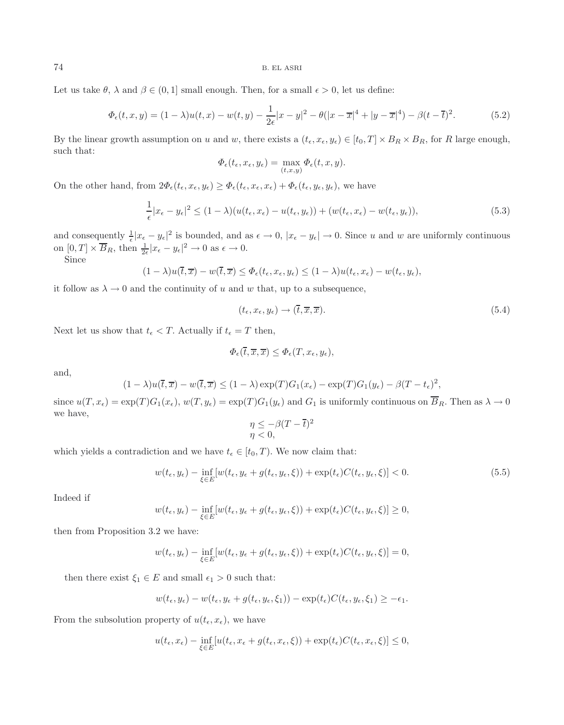Let us take  $\theta$ ,  $\lambda$  and  $\beta \in (0, 1]$  small enough. Then, for a small  $\epsilon > 0$ , let us define:

$$
\Phi_{\epsilon}(t,x,y) = (1-\lambda)u(t,x) - w(t,y) - \frac{1}{2\epsilon}|x-y|^2 - \theta(|x-\overline{x}|^4 + |y-\overline{x}|^4) - \beta(t-\overline{t})^2. \tag{5.2}
$$

By the linear growth assumption on u and w, there exists a  $(t_{\epsilon}, x_{\epsilon}, y_{\epsilon}) \in [t_0, T] \times B_R \times B_R$ , for R large enough, such that:

$$
\Phi_{\epsilon}(t_{\epsilon}, x_{\epsilon}, y_{\epsilon}) = \max_{(t,x,y)} \Phi_{\epsilon}(t, x, y).
$$

On the other hand, from  $2\Phi_{\epsilon}(t_{\epsilon}, x_{\epsilon}, y_{\epsilon}) \geq \Phi_{\epsilon}(t_{\epsilon}, x_{\epsilon}, x_{\epsilon}) + \Phi_{\epsilon}(t_{\epsilon}, y_{\epsilon}, y_{\epsilon})$ , we have

$$
\frac{1}{\epsilon}|x_{\epsilon} - y_{\epsilon}|^2 \le (1 - \lambda)(u(t_{\epsilon}, x_{\epsilon}) - u(t_{\epsilon}, y_{\epsilon})) + (w(t_{\epsilon}, x_{\epsilon}) - w(t_{\epsilon}, y_{\epsilon})),\tag{5.3}
$$

and consequently  $\frac{1}{\epsilon}|x_{\epsilon}-y_{\epsilon}|^2$  is bounded, and as  $\epsilon \to 0$ ,  $|x_{\epsilon}-y_{\epsilon}| \to 0$ . Since u and w are uniformly continuous on  $[0, T] \times \overline{B}_R$ , then  $\frac{1}{2\epsilon} |x_{\epsilon} - y_{\epsilon}|^2 \to 0$  as  $\epsilon \to 0$ .

Since

$$
(1 - \lambda)u(\overline{t}, \overline{x}) - w(\overline{t}, \overline{x}) \leq \Phi_{\epsilon}(t_{\epsilon}, x_{\epsilon}, y_{\epsilon}) \leq (1 - \lambda)u(t_{\epsilon}, x_{\epsilon}) - w(t_{\epsilon}, y_{\epsilon}),
$$

it follow as  $\lambda \to 0$  and the continuity of u and w that, up to a subsequence,

<span id="page-11-0"></span>
$$
(t_{\epsilon}, x_{\epsilon}, y_{\epsilon}) \rightarrow (\overline{t}, \overline{x}, \overline{x}). \tag{5.4}
$$

Next let us show that  $t_{\epsilon} < T$ . Actually if  $t_{\epsilon} = T$  then,

$$
\Phi_{\epsilon}(\overline{t}, \overline{x}, \overline{x}) \leq \Phi_{\epsilon}(T, x_{\epsilon}, y_{\epsilon}),
$$

and,

$$
(1 - \lambda)u(\overline{t}, \overline{x}) - w(\overline{t}, \overline{x}) \le (1 - \lambda)\exp(T)G_1(x_{\epsilon}) - \exp(T)G_1(y_{\epsilon}) - \beta(T - t_{\epsilon})^2,
$$

since  $u(T,x_{\epsilon}) = \exp(T)G_1(x_{\epsilon}), w(T,y_{\epsilon}) = \exp(T)G_1(y_{\epsilon})$  and  $G_1$  is uniformly continuous on  $\overline{B}_R$ . Then as  $\lambda \to 0$ we have,

$$
\eta \le -\beta (T - \overline{t})^2
$$
  

$$
\eta < 0,
$$

which yields a contradiction and we have  $t_{\epsilon} \in [t_0, T)$ . We now claim that:

$$
w(t_{\epsilon}, y_{\epsilon}) - \inf_{\xi \in E} [w(t_{\epsilon}, y_{\epsilon} + g(t_{\epsilon}, y_{\epsilon}, \xi)) + \exp(t_{\epsilon}) C(t_{\epsilon}, y_{\epsilon}, \xi)] < 0.
$$
 (5.5)

Indeed if

$$
w(t_{\epsilon}, y_{\epsilon}) - \inf_{\xi \in E} [w(t_{\epsilon}, y_{\epsilon} + g(t_{\epsilon}, y_{\epsilon}, \xi)) + \exp(t_{\epsilon}) C(t_{\epsilon}, y_{\epsilon}, \xi)] \ge 0,
$$

then from Proposition 3.2 we have:

$$
w(t_{\epsilon}, y_{\epsilon}) - \inf_{\xi \in E} [w(t_{\epsilon}, y_{\epsilon} + g(t_{\epsilon}, y_{\epsilon}, \xi)) + \exp(t_{\epsilon}) C(t_{\epsilon}, y_{\epsilon}, \xi)] = 0,
$$

then there exist  $\xi_1 \in E$  and small  $\epsilon_1 > 0$  such that:

$$
w(t_{\epsilon}, y_{\epsilon}) - w(t_{\epsilon}, y_{\epsilon} + g(t_{\epsilon}, y_{\epsilon}, \xi_1)) - \exp(t_{\epsilon})C(t_{\epsilon}, y_{\epsilon}, \xi_1) \geq -\epsilon_1.
$$

From the subsolution property of  $u(t_{\epsilon}, x_{\epsilon})$ , we have

$$
u(t_{\epsilon}, x_{\epsilon}) - \inf_{\xi \in E} [u(t_{\epsilon}, x_{\epsilon} + g(t_{\epsilon}, x_{\epsilon}, \xi)) + \exp(t_{\epsilon}) C(t_{\epsilon}, x_{\epsilon}, \xi)] \leq 0,
$$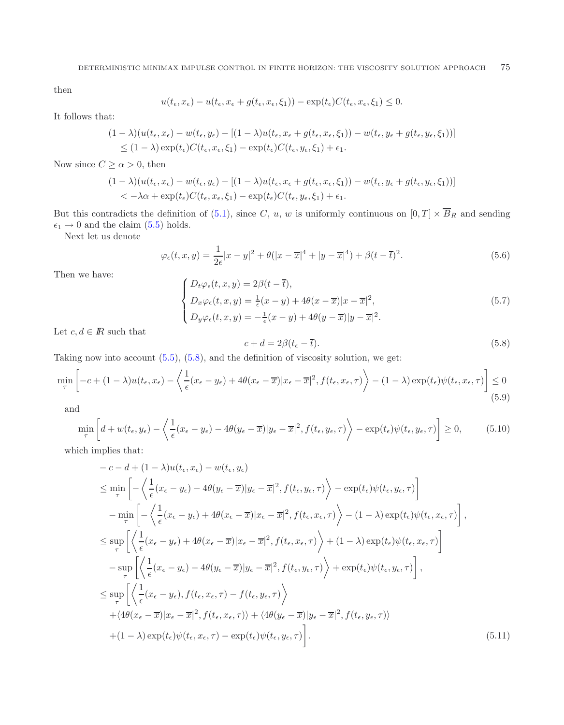then

$$
u(t_{\epsilon}, x_{\epsilon}) - u(t_{\epsilon}, x_{\epsilon} + g(t_{\epsilon}, x_{\epsilon}, \xi_1)) - \exp(t_{\epsilon})C(t_{\epsilon}, x_{\epsilon}, \xi_1) \leq 0.
$$

It follows that:

$$
(1 - \lambda)(u(t_{\epsilon}, x_{\epsilon}) - w(t_{\epsilon}, y_{\epsilon}) - [(1 - \lambda)u(t_{\epsilon}, x_{\epsilon} + g(t_{\epsilon}, x_{\epsilon}, \xi_1)) - w(t_{\epsilon}, y_{\epsilon} + g(t_{\epsilon}, y_{\epsilon}, \xi_1))]
$$
  
\n
$$
\leq (1 - \lambda) \exp(t_{\epsilon}) C(t_{\epsilon}, x_{\epsilon}, \xi_1) - \exp(t_{\epsilon}) C(t_{\epsilon}, y_{\epsilon}, \xi_1) + \epsilon_1.
$$

Now since  $C \ge \alpha > 0$ , then

<span id="page-12-0"></span>
$$
(1 - \lambda)(u(t_{\epsilon}, x_{\epsilon}) - w(t_{\epsilon}, y_{\epsilon}) - [(1 - \lambda)u(t_{\epsilon}, x_{\epsilon} + g(t_{\epsilon}, x_{\epsilon}, \xi_1)) - w(t_{\epsilon}, y_{\epsilon} + g(t_{\epsilon}, y_{\epsilon}, \xi_1))]
$$
  
< 
$$
< -\lambda \alpha + \exp(t_{\epsilon})C(t_{\epsilon}, x_{\epsilon}, \xi_1) - \exp(t_{\epsilon})C(t_{\epsilon}, y_{\epsilon}, \xi_1) + \epsilon_1.
$$

But this contradicts the definition of [\(5.1\)](#page-10-1), since C, u, w is uniformly continuous on  $[0, T] \times \overline{B}_R$  and sending  $\epsilon_1 \rightarrow 0$  and the claim [\(5.5\)](#page-11-0) holds.

Next let us denote

$$
\varphi_{\epsilon}(t,x,y) = \frac{1}{2\epsilon}|x-y|^2 + \theta(|x-\overline{x}|^4 + |y-\overline{x}|^4) + \beta(t-\overline{t})^2.
$$
\n(5.6)

Then we have:

$$
\begin{cases}\nD_t \varphi_{\epsilon}(t, x, y) = 2\beta(t - \overline{t}), \\
D_x \varphi_{\epsilon}(t, x, y) = \frac{1}{\epsilon}(x - y) + 4\theta(x - \overline{x})|x - \overline{x}|^2, \\
D_y \varphi_{\epsilon}(t, x, y) = -\frac{1}{\epsilon}(x - y) + 4\theta(y - \overline{x})|y - \overline{x}|^2.\n\end{cases}
$$
\n(5.7)

Let  $c, d \in \mathbb{R}$  such that

$$
c + d = 2\beta (t_{\epsilon} - \overline{t}).\tag{5.8}
$$

Taking now into account  $(5.5)$ ,  $(5.8)$ , and the definition of viscosity solution, we get:

$$
\min_{\tau} \left[ -c + (1 - \lambda)u(t_{\epsilon}, x_{\epsilon}) - \left\langle \frac{1}{\epsilon} (x_{\epsilon} - y_{\epsilon}) + 4\theta (x_{\epsilon} - \overline{x}) | x_{\epsilon} - \overline{x} |^{2}, f(t_{\epsilon}, x_{\epsilon}, \tau) \right\rangle - (1 - \lambda) \exp(t_{\epsilon}) \psi(t_{\epsilon}, x_{\epsilon}, \tau) \right] \le 0
$$
\n(5.9)

and

$$
\min_{\tau} \left[ d + w(t_{\epsilon}, y_{\epsilon}) - \left\langle \frac{1}{\epsilon} (x_{\epsilon} - y_{\epsilon}) - 4\theta (y_{\epsilon} - \overline{x}) | y_{\epsilon} - \overline{x} |^{2}, f(t_{\epsilon}, y_{\epsilon}, \tau) \right\rangle - \exp(t_{\epsilon}) \psi(t_{\epsilon}, y_{\epsilon}, \tau) \right] \ge 0, \tag{5.10}
$$

which implies that:

$$
-c - d + (1 - \lambda)u(t_{\epsilon}, x_{\epsilon}) - w(t_{\epsilon}, y_{\epsilon})
$$
  
\n
$$
\leq \min_{\tau} \left[ -\left\langle \frac{1}{\epsilon} (x_{\epsilon} - y_{\epsilon}) - 4\theta (y_{\epsilon} - \overline{x}) | y_{\epsilon} - \overline{x} |^{2}, f(t_{\epsilon}, y_{\epsilon}, \tau) \right\rangle - \exp(t_{\epsilon}) \psi(t_{\epsilon}, y_{\epsilon}, \tau) \right]
$$
  
\n
$$
- \min_{\tau} \left[ -\left\langle \frac{1}{\epsilon} (x_{\epsilon} - y_{\epsilon}) + 4\theta (x_{\epsilon} - \overline{x}) | x_{\epsilon} - \overline{x} |^{2}, f(t_{\epsilon}, x_{\epsilon}, \tau) \right\rangle - (1 - \lambda) \exp(t_{\epsilon}) \psi(t_{\epsilon}, x_{\epsilon}, \tau) \right],
$$
  
\n
$$
\leq \sup_{\tau} \left[ \left\langle \frac{1}{\epsilon} (x_{\epsilon} - y_{\epsilon}) + 4\theta (x_{\epsilon} - \overline{x}) | x_{\epsilon} - \overline{x} |^{2}, f(t_{\epsilon}, x_{\epsilon}, \tau) \right\rangle + (1 - \lambda) \exp(t_{\epsilon}) \psi(t_{\epsilon}, x_{\epsilon}, \tau) \right]
$$
  
\n
$$
- \sup_{\tau} \left[ \left\langle \frac{1}{\epsilon} (x_{\epsilon} - y_{\epsilon}) - 4\theta (y_{\epsilon} - \overline{x}) | y_{\epsilon} - \overline{x} |^{2}, f(t_{\epsilon}, y_{\epsilon}, \tau) \right\rangle + \exp(t_{\epsilon}) \psi(t_{\epsilon}, y_{\epsilon}, \tau) \right],
$$
  
\n
$$
\leq \sup_{\tau} \left[ \left\langle \frac{1}{\epsilon} (x_{\epsilon} - y_{\epsilon}), f(t_{\epsilon}, x_{\epsilon}, \tau) - f(t_{\epsilon}, y_{\epsilon}, \tau) \right\rangle
$$
  
\n
$$
+ \langle 4\theta (x_{\epsilon} - \overline{x}) | x_{\epsilon} - \overline{x} |^{2}, f(t_{\epsilon}, x_{\epsilon}, \tau) \rangle + \langle 4\theta (y_{\epsilon} - \overline{x}) | y_{\epsilon} - \overline{x} |^{2}, f(t_{\epsilon}, y_{\epsilon}, \tau) \rangle
$$
  
\n
$$
+ (1 - \lambda) \exp(t_{\epsilon
$$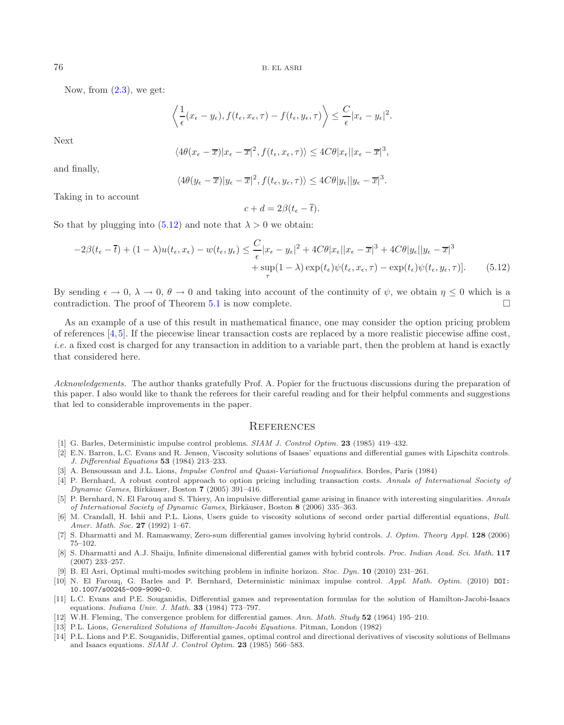Now, from  $(2.3)$ , we get:

$$
\left\langle \frac{1}{\epsilon}(x_{\epsilon}-y_{\epsilon}), f(t_{\epsilon}, x_{\epsilon}, \tau) - f(t_{\epsilon}, y_{\epsilon}, \tau) \right\rangle \leq \frac{C}{\epsilon} |x_{\epsilon}-y_{\epsilon}|^2.
$$

Next

$$
\langle 4\theta(x_{\epsilon} - \overline{x})|x_{\epsilon} - \overline{x}|^{2}, f(t_{\epsilon}, x_{\epsilon}, \tau) \rangle \le 4C\theta|x_{\epsilon}||x_{\epsilon} - \overline{x}|^{3},
$$

and finally,

$$
\langle 4\theta(y_{\epsilon}-\overline{x})|y_{\epsilon}-\overline{x}|^2, f(t_{\epsilon},y_{\epsilon},\tau)\rangle \le 4C\theta|y_{\epsilon}||y_{\epsilon}-\overline{x}|^3.
$$

Taking in to account

<span id="page-13-4"></span>
$$
c + d = 2\beta(t_{\epsilon} - \overline{t}).
$$

So that by plugging into  $(5.12)$  and note that  $\lambda > 0$  we obtain:

$$
-2\beta(t_{\epsilon}-\overline{t}) + (1-\lambda)u(t_{\epsilon},x_{\epsilon}) - w(t_{\epsilon},y_{\epsilon}) \leq \frac{C}{\epsilon}|x_{\epsilon} - y_{\epsilon}|^{2} + 4C\theta|x_{\epsilon}||x_{\epsilon} - \overline{x}|^{3} + 4C\theta|y_{\epsilon}||y_{\epsilon} - \overline{x}|^{3} + \sup(1-\lambda)\exp(t_{\epsilon})\psi(t_{\epsilon},x_{\epsilon},\tau) - \exp(t_{\epsilon})\psi(t_{\epsilon},y_{\epsilon},\tau)].
$$
\n(5.12)

By sending  $\epsilon \to 0$ ,  $\lambda \to 0$ ,  $\theta \to 0$  and taking into account of the continuity of  $\psi$ , we obtain  $\eta \leq 0$  which is a contradiction. The proof of Theorem [5.1](#page-10-2) is now complete.  $\Box$ 

As an example of a use of this result in mathematical finance, one may consider the option pricing problem of references [\[4](#page-13-5),[5\]](#page-13-6). If the piecewise linear transaction costs are replaced by a more realistic piecewise affine cost, *i.e.* a fixed cost is charged for any transaction in addition to a variable part, then the problem at hand is exactly that considered here.

*Acknowledgements.* The author thanks gratefully Prof. A. Popier for the fructuous discussions during the preparation of this paper. I also would like to thank the referees for their careful reading and for their helpful comments and suggestions that led to considerable improvements in the paper.

## **REFERENCES**

- <span id="page-13-1"></span>[1] G. Barles, Deterministic impulse control problems. SIAM J. Control Optim. **23** (1985) 419–432.
- [2] E.N. Barron, L.C. Evans and R. Jensen, Viscosity solutions of Isaaes' equations and differential games with Lipschitz controls. J. Differential Equations **53** (1984) 213–233.
- <span id="page-13-0"></span>[3] A. Bensoussan and J.L. Lions, Impulse Control and Quasi-Variational Inequalities. Bordes, Paris (1984)
- <span id="page-13-5"></span>[4] P. Bernhard, A robust control approach to option pricing including transaction costs. Annals of International Society of Dynamic Games, Birk¨auser, Boston **7** (2005) 391–416.
- <span id="page-13-6"></span>[5] P. Bernhard, N. El Farouq and S. Thiery, An impulsive differential game arising in finance with interesting singularities. Annals of International Society of Dynamic Games, Birk¨auser, Boston **8** (2006) 335–363.
- [6] M. Crandall, H. Ishii and P.L. Lions, Users guide to viscosity solutions of second order partial differential equations, Bull. Amer. Math. Soc. **27** (1992) 1–67.
- [7] S. Dharmatti and M. Ramaswamy, Zero-sum differential games involving hybrid controls. J. Optim. Theory Appl. **128** (2006) 75–102.
- [8] S. Dharmatti and A.J. Shaiju, Infinite dimensional differential games with hybrid controls. Proc. Indian Acad. Sci. Math. **117** (2007) 233–257.
- [9] B. El Asri, Optimal multi-modes switching problem in infinite horizon. Stoc. Dyn. **10** (2010) 231–261.
- <span id="page-13-3"></span><span id="page-13-2"></span>[10] N. El Farouq, G. Barles and P. Bernhard, Deterministic minimax impulse control. Appl. Math. Optim. (2010) DOI: 10.1007/s00245-009-9090-0.
- [11] L.C. Evans and P.E. Souganidis, Differential games and representation formulas for the solution of Hamilton-Jacobi-Isaacs equations. Indiana Univ. J. Math. **33** (1984) 773–797.
- [12] W.H. Fleming, The convergence problem for differential games. Ann. Math. Study **52** (1964) 195–210.
- [13] P.L. Lions, Generalized Solutions of Hamilton-Jacobi Equations. Pitman, London (1982)
- [14] P.L. Lions and P.E. Souganidis, Differential games, optimal control and directional derivatives of viscosity solutions of Bellmans and Isaacs equations. SIAM J. Control Optim. **23** (1985) 566–583.